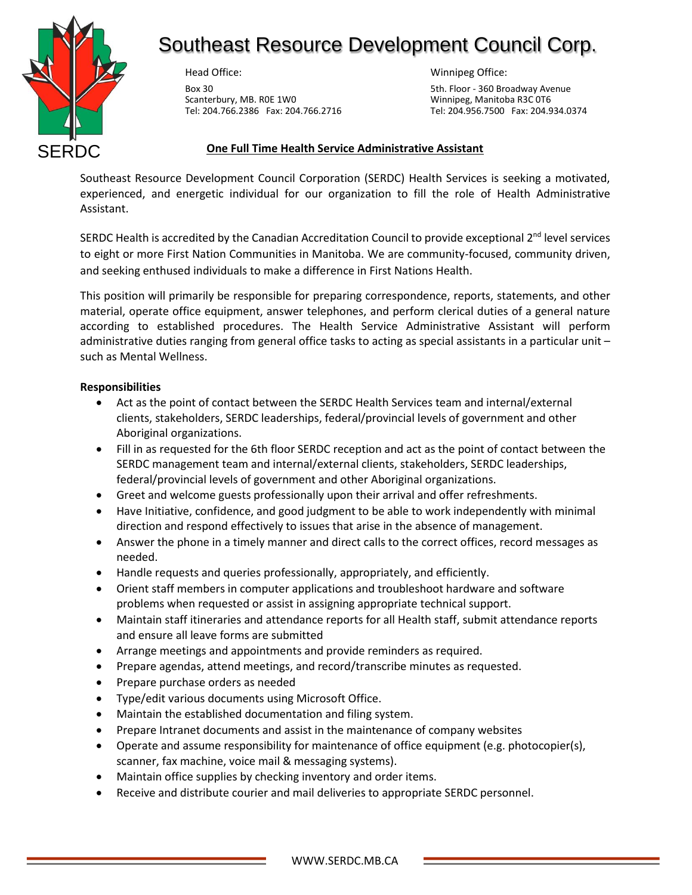

# Southeast Resource Development Council Corp.

Head Office:

Box 30 Scanterbury, MB. R0E 1W0 Tel: 204.766.2386 Fax: 204.766.2716 Winnipeg Office:

5th. Floor - 360 Broadway Avenue Winnipeg, Manitoba R3C 0T6 Tel: 204.956.7500 Fax: 204.934.0374

## **One Full Time Health Service Administrative Assistant**

Southeast Resource Development Council Corporation (SERDC) Health Services is seeking a motivated, experienced, and energetic individual for our organization to fill the role of Health Administrative Assistant.

SERDC Health is accredited by the Canadian Accreditation Council to provide exceptional 2<sup>nd</sup> level services to eight or more First Nation Communities in Manitoba. We are community-focused, community driven, and seeking enthused individuals to make a difference in First Nations Health.

This position will primarily be responsible for preparing correspondence, reports, statements, and other material, operate office equipment, answer telephones, and perform clerical duties of a general nature according to established procedures. The Health Service Administrative Assistant will perform administrative duties ranging from general office tasks to acting as special assistants in a particular unit – such as Mental Wellness.

## **Responsibilities**

- Act as the point of contact between the SERDC Health Services team and internal/external clients, stakeholders, SERDC leaderships, federal/provincial levels of government and other Aboriginal organizations.
- Fill in as requested for the 6th floor SERDC reception and act as the point of contact between the SERDC management team and internal/external clients, stakeholders, SERDC leaderships, federal/provincial levels of government and other Aboriginal organizations.
- Greet and welcome guests professionally upon their arrival and offer refreshments.
- Have Initiative, confidence, and good judgment to be able to work independently with minimal direction and respond effectively to issues that arise in the absence of management.
- Answer the phone in a timely manner and direct calls to the correct offices, record messages as needed.
- Handle requests and queries professionally, appropriately, and efficiently.
- Orient staff members in computer applications and troubleshoot hardware and software problems when requested or assist in assigning appropriate technical support.
- Maintain staff itineraries and attendance reports for all Health staff, submit attendance reports and ensure all leave forms are submitted
- Arrange meetings and appointments and provide reminders as required.
- Prepare agendas, attend meetings, and record/transcribe minutes as requested.
- Prepare purchase orders as needed
- Type/edit various documents using Microsoft Office.
- Maintain the established documentation and filing system.
- Prepare Intranet documents and assist in the maintenance of company websites
- Operate and assume responsibility for maintenance of office equipment (e.g. photocopier(s), scanner, fax machine, voice mail & messaging systems).
- Maintain office supplies by checking inventory and order items.
- Receive and distribute courier and mail deliveries to appropriate SERDC personnel.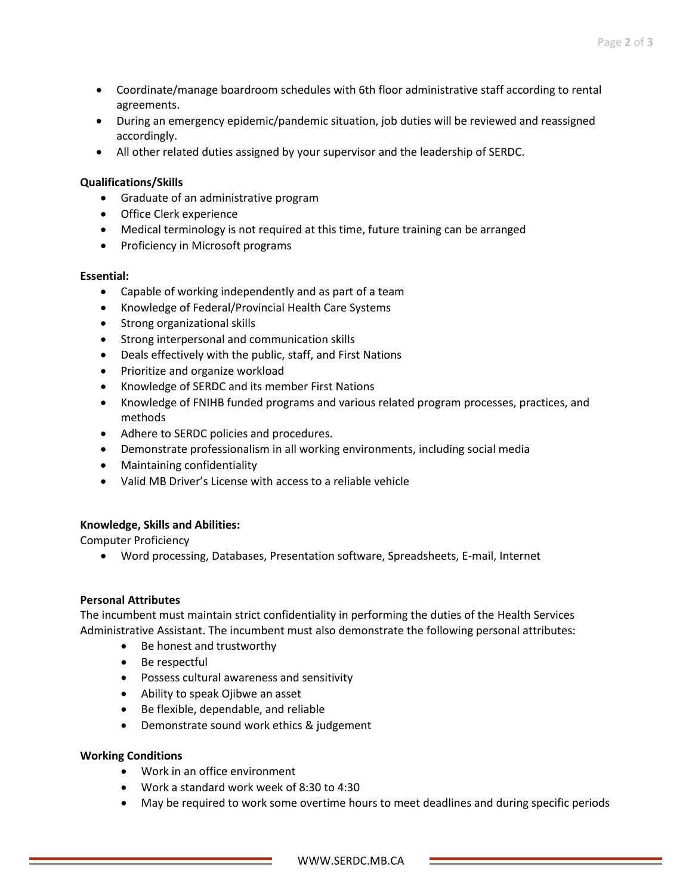- Coordinate/manage boardroom schedules with 6th floor administrative staff according to rental agreements.
- During an emergency epidemic/pandemic situation, job duties will be reviewed and reassigned accordingly.
- All other related duties assigned by your supervisor and the leadership of SERDC.

#### **Qualifications/Skills**

- Graduate of an administrative program
- Office Clerk experience
- Medical terminology is not required at this time, future training can be arranged
- Proficiency in Microsoft programs

#### **Essential:**

- Capable of working independently and as part of a team
- Knowledge of Federal/Provincial Health Care Systems
- Strong organizational skills
- Strong interpersonal and communication skills
- Deals effectively with the public, staff, and First Nations
- Prioritize and organize workload
- Knowledge of SERDC and its member First Nations
- Knowledge of FNIHB funded programs and various related program processes, practices, and methods
- Adhere to SERDC policies and procedures.
- Demonstrate professionalism in all working environments, including social media
- Maintaining confidentiality
- Valid MB Driver's License with access to a reliable vehicle

#### **Knowledge, Skills and Abilities:**

Computer Proficiency

• Word processing, Databases, Presentation software, Spreadsheets, E-mail, Internet

#### **Personal Attributes**

The incumbent must maintain strict confidentiality in performing the duties of the Health Services Administrative Assistant. The incumbent must also demonstrate the following personal attributes:

- Be honest and trustworthy
- Be respectful
- Possess cultural awareness and sensitivity
- Ability to speak Ojibwe an asset
- Be flexible, dependable, and reliable
- Demonstrate sound work ethics & judgement

#### **Working Conditions**

- Work in an office environment
- Work a standard work week of 8:30 to 4:30
- May be required to work some overtime hours to meet deadlines and during specific periods